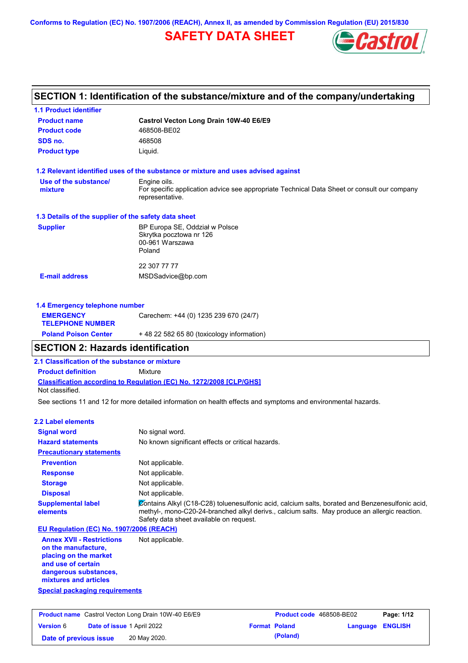**Conforms to Regulation (EC) No. 1907/2006 (REACH), Annex II, as amended by Commission Regulation (EU) 2015/830**

# **SAFETY DATA SHEET**



# **SECTION 1: Identification of the substance/mixture and of the company/undertaking**

| <b>1.1 Product identifier</b>                        |                                                                                                                |
|------------------------------------------------------|----------------------------------------------------------------------------------------------------------------|
| <b>Product name</b>                                  | Castrol Vecton Long Drain 10W-40 E6/E9                                                                         |
| <b>Product code</b>                                  | 468508-BE02                                                                                                    |
| SDS no.                                              | 468508                                                                                                         |
| <b>Product type</b>                                  | Liquid.                                                                                                        |
|                                                      | 1.2 Relevant identified uses of the substance or mixture and uses advised against                              |
| Use of the substance/                                | Engine oils.                                                                                                   |
| mixture                                              | For specific application advice see appropriate Technical Data Sheet or consult our company<br>representative. |
| 1.3 Details of the supplier of the safety data sheet |                                                                                                                |
| <b>Supplier</b>                                      | BP Europa SE, Oddział w Polsce                                                                                 |
|                                                      | Skrytka pocztowa nr 126<br>00-961 Warszawa                                                                     |
|                                                      | Poland                                                                                                         |
|                                                      | 22 307 77 77                                                                                                   |
| <b>E-mail address</b>                                | MSDSadvice@bp.com                                                                                              |
| 1.4 Emergency telephone number                       |                                                                                                                |
| <b>EMERGENCY</b>                                     | Carechem: +44 (0) 1235 239 670 (24/7)                                                                          |
| <b>TELEPHONE NUMBER</b>                              |                                                                                                                |

# **Poland Poison Center** + 48 22 582 65 80 (toxicology information) **SECTION 2: Hazards identification**

**2.1 Classification of the substance or mixture**

**Product definition** Mixture

**Classification according to Regulation (EC) No. 1272/2008 [CLP/GHS]** Not classified.

See sections 11 and 12 for more detailed information on health effects and symptoms and environmental hazards.

#### **2.2 Label elements**

| <b>Signal word</b><br><b>Hazard statements</b>                                   | No signal word.<br>No known significant effects or critical hazards.                                                                                                                                                                        |
|----------------------------------------------------------------------------------|---------------------------------------------------------------------------------------------------------------------------------------------------------------------------------------------------------------------------------------------|
| <b>Precautionary statements</b>                                                  |                                                                                                                                                                                                                                             |
| <b>Prevention</b>                                                                | Not applicable.                                                                                                                                                                                                                             |
| <b>Response</b>                                                                  | Not applicable.                                                                                                                                                                                                                             |
| <b>Storage</b>                                                                   | Not applicable.                                                                                                                                                                                                                             |
| <b>Disposal</b>                                                                  | Not applicable.                                                                                                                                                                                                                             |
| <b>Supplemental label</b><br>elements                                            | Contains Alkyl (C18-C28) toluenesulfonic acid, calcium salts, borated and Benzenesulfonic acid,<br>methyl-, mono-C20-24-branched alkyl derivs., calcium salts. May produce an allergic reaction.<br>Safety data sheet available on request. |
| EU Regulation (EC) No. 1907/2006 (REACH)                                         |                                                                                                                                                                                                                                             |
| <b>Annex XVII - Restrictions</b><br>on the manufacture,<br>placing on the market | Not applicable.                                                                                                                                                                                                                             |

**and use of certain dangerous substances, mixtures and articles**

# **Special packaging requirements**

| <b>Product name</b> Castrol Vecton Long Drain 10W-40 E6/E9 |                                   | <b>Product code</b> 468508-BE02 |          | Page: 1/12              |  |
|------------------------------------------------------------|-----------------------------------|---------------------------------|----------|-------------------------|--|
| <b>Version 6</b>                                           | <b>Date of issue 1 April 2022</b> | <b>Format Poland</b>            |          | <b>Language ENGLISH</b> |  |
| 20 May 2020.<br>Date of previous issue                     |                                   |                                 | (Poland) |                         |  |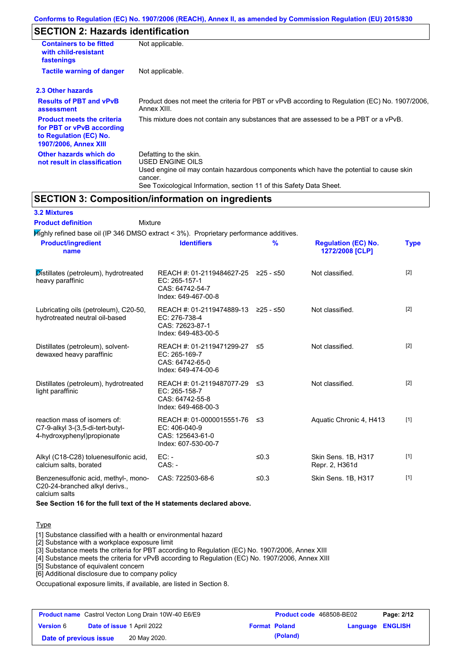# **SECTION 2: Hazards identification**

| <b>Containers to be fitted</b><br>with child-resistant<br>fastenings                                                     | Not applicable.                                                                                                                                                                                                          |
|--------------------------------------------------------------------------------------------------------------------------|--------------------------------------------------------------------------------------------------------------------------------------------------------------------------------------------------------------------------|
| <b>Tactile warning of danger</b>                                                                                         | Not applicable.                                                                                                                                                                                                          |
| 2.3 Other hazards                                                                                                        |                                                                                                                                                                                                                          |
| <b>Results of PBT and vPvB</b><br>assessment                                                                             | Product does not meet the criteria for PBT or vPvB according to Regulation (EC) No. 1907/2006,<br>Annex XIII.                                                                                                            |
| <b>Product meets the criteria</b><br>for PBT or vPvB according<br>to Regulation (EC) No.<br><b>1907/2006, Annex XIII</b> | This mixture does not contain any substances that are assessed to be a PBT or a vPvB.                                                                                                                                    |
| Other hazards which do<br>not result in classification                                                                   | Defatting to the skin.<br>USED ENGINE OILS<br>Used engine oil may contain hazardous components which have the potential to cause skin<br>cancer.<br>See Toxicological Information, section 11 of this Safety Data Sheet. |

# **SECTION 3: Composition/information on ingredients**

| <b>3.2 Mixtures</b> |  |
|---------------------|--|
|---------------------|--|

Mixture **Product definition**

| <b>Product/ingredient</b><br>name                                                              | <b>Identifiers</b>                                                                      | %         | <b>Regulation (EC) No.</b><br>1272/2008 [CLP] | <b>Type</b> |
|------------------------------------------------------------------------------------------------|-----------------------------------------------------------------------------------------|-----------|-----------------------------------------------|-------------|
| Distillates (petroleum), hydrotreated<br>heavy paraffinic                                      | REACH #: 01-2119484627-25<br>EC: 265-157-1<br>CAS: 64742-54-7<br>Index: 649-467-00-8    | ≥25 - ≤50 | Not classified.                               | $[2]$       |
| Lubricating oils (petroleum), C20-50,<br>hydrotreated neutral oil-based                        | REACH #: 01-2119474889-13<br>EC: 276-738-4<br>CAS: 72623-87-1<br>Index: 649-483-00-5    | ≥25 - ≤50 | Not classified.                               | $[2]$       |
| Distillates (petroleum), solvent-<br>dewaxed heavy paraffinic                                  | REACH #: 01-2119471299-27<br>EC: 265-169-7<br>CAS: 64742-65-0<br>Index: 649-474-00-6    | ≤5        | Not classified.                               | $[2]$       |
| Distillates (petroleum), hydrotreated<br>light paraffinic                                      | REACH #: 01-2119487077-29 ≤3<br>EC: 265-158-7<br>CAS: 64742-55-8<br>Index: 649-468-00-3 |           | Not classified.                               | $[2]$       |
| reaction mass of isomers of:<br>C7-9-alkyl 3-(3,5-di-tert-butyl-<br>4-hydroxyphenyl)propionate | REACH #: 01-0000015551-76<br>$EC: 406-040-9$<br>CAS: 125643-61-0<br>Index: 607-530-00-7 | -≤3       | Aquatic Chronic 4, H413                       | $[1]$       |
| Alkyl (C18-C28) toluenesulfonic acid,<br>calcium salts, borated                                | $EC: -$<br>$CAS. -$                                                                     | ≤ $0.3$   | Skin Sens. 1B, H317<br>Repr. 2, H361d         | $[1]$       |
| Benzenesulfonic acid, methyl-, mono-<br>C20-24-branched alkyl derivs.,<br>calcium salts        | CAS: 722503-68-6                                                                        | ≤ $0.3$   | Skin Sens. 1B, H317                           | $[1]$       |

**See Section 16 for the full text of the H statements declared above.**

### **Type**

[1] Substance classified with a health or environmental hazard

[2] Substance with a workplace exposure limit

[3] Substance meets the criteria for PBT according to Regulation (EC) No. 1907/2006, Annex XIII

[4] Substance meets the criteria for vPvB according to Regulation (EC) No. 1907/2006, Annex XIII

[5] Substance of equivalent concern

[6] Additional disclosure due to company policy

Occupational exposure limits, if available, are listed in Section 8.

| <b>Product name</b> Castrol Vecton Long Drain 10W-40 E6/E9 |                                   | Product code 468508-BE02 |                      | Page: 2/12 |                  |  |
|------------------------------------------------------------|-----------------------------------|--------------------------|----------------------|------------|------------------|--|
| <b>Version 6</b>                                           | <b>Date of issue 1 April 2022</b> |                          | <b>Format Poland</b> |            | Language ENGLISH |  |
| Date of previous issue                                     |                                   | 20 May 2020.             |                      | (Poland)   |                  |  |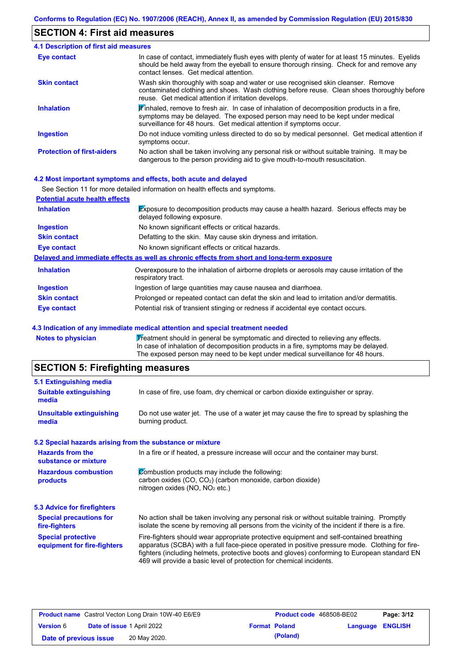# **SECTION 4: First aid measures**

| <b>4.1 Description of first aid measures</b> |                                                                                                                                                                                                                                                               |
|----------------------------------------------|---------------------------------------------------------------------------------------------------------------------------------------------------------------------------------------------------------------------------------------------------------------|
| Eye contact                                  | In case of contact, immediately flush eyes with plenty of water for at least 15 minutes. Eyelids<br>should be held away from the eyeball to ensure thorough rinsing. Check for and remove any<br>contact lenses. Get medical attention.                       |
| <b>Skin contact</b>                          | Wash skin thoroughly with soap and water or use recognised skin cleanser. Remove<br>contaminated clothing and shoes. Wash clothing before reuse. Clean shoes thoroughly before<br>reuse. Get medical attention if irritation develops.                        |
| <b>Inhalation</b>                            | $\mathbf{F}$ inhaled, remove to fresh air. In case of inhalation of decomposition products in a fire,<br>symptoms may be delayed. The exposed person may need to be kept under medical<br>surveillance for 48 hours. Get medical attention if symptoms occur. |
| <b>Ingestion</b>                             | Do not induce vomiting unless directed to do so by medical personnel. Get medical attention if<br>symptoms occur.                                                                                                                                             |
| <b>Protection of first-aiders</b>            | No action shall be taken involving any personal risk or without suitable training. It may be<br>dangerous to the person providing aid to give mouth-to-mouth resuscitation.                                                                                   |

## **4.2 Most important symptoms and effects, both acute and delayed**

|                                       | See Section 11 for more detailed information on health effects and symptoms.                                               |
|---------------------------------------|----------------------------------------------------------------------------------------------------------------------------|
| <b>Potential acute health effects</b> |                                                                                                                            |
| <b>Inhalation</b>                     | <b>Exposure to decomposition products may cause a health hazard.</b> Serious effects may be<br>delayed following exposure. |
| <b>Ingestion</b>                      | No known significant effects or critical hazards.                                                                          |
| <b>Skin contact</b>                   | Defatting to the skin. May cause skin dryness and irritation.                                                              |
| Eye contact                           | No known significant effects or critical hazards.                                                                          |
|                                       | Delayed and immediate effects as well as chronic effects from short and long-term exposure                                 |
| <b>Inhalation</b>                     | Overexposure to the inhalation of airborne droplets or aerosols may cause irritation of the<br>respiratory tract.          |
| <b>Ingestion</b>                      | Ingestion of large quantities may cause nausea and diarrhoea.                                                              |
| <b>Skin contact</b>                   | Prolonged or repeated contact can defat the skin and lead to irritation and/or dermatitis.                                 |
| Eye contact                           | Potential risk of transient stinging or redness if accidental eye contact occurs.                                          |

## **4.3 Indication of any immediate medical attention and special treatment needed**

| Notes to physician | Treatment should in general be symptomatic and directed to relieving any effects.   |
|--------------------|-------------------------------------------------------------------------------------|
|                    | In case of inhalation of decomposition products in a fire, symptoms may be delayed. |
|                    | The exposed person may need to be kept under medical surveillance for 48 hours.     |

# **SECTION 5: Firefighting measures**

| 5.1 Extinguishing media                                   |                                                                                                                                                                                                                                                                                                                                                                   |
|-----------------------------------------------------------|-------------------------------------------------------------------------------------------------------------------------------------------------------------------------------------------------------------------------------------------------------------------------------------------------------------------------------------------------------------------|
| <b>Suitable extinguishing</b><br>media                    | In case of fire, use foam, dry chemical or carbon dioxide extinguisher or spray.                                                                                                                                                                                                                                                                                  |
| <b>Unsuitable extinguishing</b><br>media                  | Do not use water jet. The use of a water jet may cause the fire to spread by splashing the<br>burning product.                                                                                                                                                                                                                                                    |
| 5.2 Special hazards arising from the substance or mixture |                                                                                                                                                                                                                                                                                                                                                                   |
| <b>Hazards from the</b><br>substance or mixture           | In a fire or if heated, a pressure increase will occur and the container may burst.                                                                                                                                                                                                                                                                               |
| <b>Hazardous combustion</b><br>products                   | Combustion products may include the following:<br>carbon oxides (CO, CO <sub>2</sub> ) (carbon monoxide, carbon dioxide)<br>nitrogen oxides (NO, NO <sub>2</sub> etc.)                                                                                                                                                                                            |
| <b>5.3 Advice for firefighters</b>                        |                                                                                                                                                                                                                                                                                                                                                                   |
| <b>Special precautions for</b><br>fire-fighters           | No action shall be taken involving any personal risk or without suitable training. Promptly<br>isolate the scene by removing all persons from the vicinity of the incident if there is a fire.                                                                                                                                                                    |
| <b>Special protective</b><br>equipment for fire-fighters  | Fire-fighters should wear appropriate protective equipment and self-contained breathing<br>apparatus (SCBA) with a full face-piece operated in positive pressure mode. Clothing for fire-<br>fighters (including helmets, protective boots and gloves) conforming to European standard EN<br>469 will provide a basic level of protection for chemical incidents. |

| <b>Product name</b> Castrol Vecton Long Drain 10W-40 E6/E9 |  | <b>Product code</b> 468508-BE02   |  | Page: 3/12           |                         |  |
|------------------------------------------------------------|--|-----------------------------------|--|----------------------|-------------------------|--|
| <b>Version 6</b>                                           |  | <b>Date of issue 1 April 2022</b> |  | <b>Format Poland</b> | <b>Language ENGLISH</b> |  |
| Date of previous issue                                     |  | 20 May 2020.                      |  | (Poland)             |                         |  |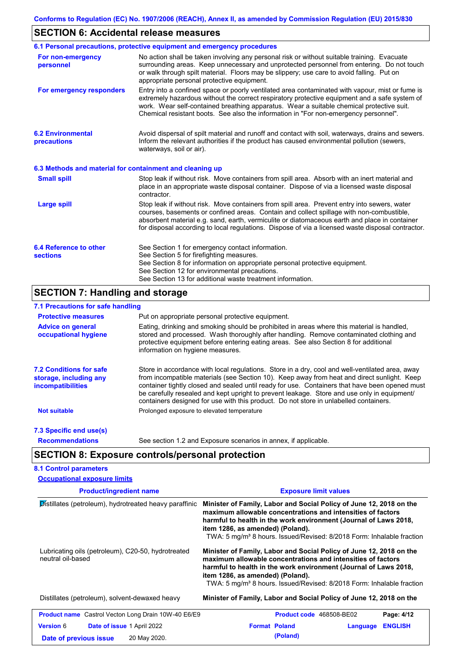# **SECTION 6: Accidental release measures**

| No action shall be taken involving any personal risk or without suitable training. Evacuate<br>surrounding areas. Keep unnecessary and unprotected personnel from entering. Do not touch<br>or walk through spilt material. Floors may be slippery; use care to avoid falling. Put on<br>appropriate personal protective equipment.<br>Entry into a confined space or poorly ventilated area contaminated with vapour, mist or fume is<br>extremely hazardous without the correct respiratory protective equipment and a safe system of<br>work. Wear self-contained breathing apparatus. Wear a suitable chemical protective suit.<br>Chemical resistant boots. See also the information in "For non-emergency personnel".<br>Avoid dispersal of spilt material and runoff and contact with soil, waterways, drains and sewers.<br>Inform the relevant authorities if the product has caused environmental pollution (sewers,<br>waterways, soil or air). |
|------------------------------------------------------------------------------------------------------------------------------------------------------------------------------------------------------------------------------------------------------------------------------------------------------------------------------------------------------------------------------------------------------------------------------------------------------------------------------------------------------------------------------------------------------------------------------------------------------------------------------------------------------------------------------------------------------------------------------------------------------------------------------------------------------------------------------------------------------------------------------------------------------------------------------------------------------------|
|                                                                                                                                                                                                                                                                                                                                                                                                                                                                                                                                                                                                                                                                                                                                                                                                                                                                                                                                                            |
|                                                                                                                                                                                                                                                                                                                                                                                                                                                                                                                                                                                                                                                                                                                                                                                                                                                                                                                                                            |
|                                                                                                                                                                                                                                                                                                                                                                                                                                                                                                                                                                                                                                                                                                                                                                                                                                                                                                                                                            |
| 6.3 Methods and material for containment and cleaning up                                                                                                                                                                                                                                                                                                                                                                                                                                                                                                                                                                                                                                                                                                                                                                                                                                                                                                   |
| Stop leak if without risk. Move containers from spill area. Absorb with an inert material and<br>place in an appropriate waste disposal container. Dispose of via a licensed waste disposal                                                                                                                                                                                                                                                                                                                                                                                                                                                                                                                                                                                                                                                                                                                                                                |
| Stop leak if without risk. Move containers from spill area. Prevent entry into sewers, water<br>courses, basements or confined areas. Contain and collect spillage with non-combustible,<br>absorbent material e.g. sand, earth, vermiculite or diatomaceous earth and place in container<br>for disposal according to local regulations. Dispose of via a licensed waste disposal contractor.                                                                                                                                                                                                                                                                                                                                                                                                                                                                                                                                                             |
| See Section 1 for emergency contact information.<br>See Section 5 for firefighting measures.<br>See Section 8 for information on appropriate personal protective equipment.<br>See Section 12 for environmental precautions.                                                                                                                                                                                                                                                                                                                                                                                                                                                                                                                                                                                                                                                                                                                               |
|                                                                                                                                                                                                                                                                                                                                                                                                                                                                                                                                                                                                                                                                                                                                                                                                                                                                                                                                                            |

## **7.1 Precautions for safe handling**

Π

| <b>Protective measures</b>                                                    | Put on appropriate personal protective equipment.                                                                                                                                                                                                                                                                                                                                                                                                                                        |
|-------------------------------------------------------------------------------|------------------------------------------------------------------------------------------------------------------------------------------------------------------------------------------------------------------------------------------------------------------------------------------------------------------------------------------------------------------------------------------------------------------------------------------------------------------------------------------|
| <b>Advice on general</b><br>occupational hygiene                              | Eating, drinking and smoking should be prohibited in areas where this material is handled,<br>stored and processed. Wash thoroughly after handling. Remove contaminated clothing and<br>protective equipment before entering eating areas. See also Section 8 for additional<br>information on hygiene measures.                                                                                                                                                                         |
| <b>7.2 Conditions for safe</b><br>storage, including any<br>incompatibilities | Store in accordance with local requlations. Store in a dry, cool and well-ventilated area, away<br>from incompatible materials (see Section 10). Keep away from heat and direct sunlight. Keep<br>container tightly closed and sealed until ready for use. Containers that have been opened must<br>be carefully resealed and kept upright to prevent leakage. Store and use only in equipment/<br>containers designed for use with this product. Do not store in unlabelled containers. |
| Not suitable                                                                  | Prolonged exposure to elevated temperature                                                                                                                                                                                                                                                                                                                                                                                                                                               |
| 7.3 Specific end use(s)                                                       |                                                                                                                                                                                                                                                                                                                                                                                                                                                                                          |
| <b>Recommendations</b>                                                        | See section 1.2 and Exposure scenarios in annex, if applicable.                                                                                                                                                                                                                                                                                                                                                                                                                          |

# **SECTION 8: Exposure controls/personal protection**

| <b>8.1 Control parameters</b>       |  |
|-------------------------------------|--|
| <b>Occupational exposure limits</b> |  |

| <b>Product/ingredient name</b>                                          | <b>Exposure limit values</b>                                                                                                                                                                                                                                                                                                    |
|-------------------------------------------------------------------------|---------------------------------------------------------------------------------------------------------------------------------------------------------------------------------------------------------------------------------------------------------------------------------------------------------------------------------|
| Distillates (petroleum), hydrotreated heavy paraffinic                  | Minister of Family, Labor and Social Policy of June 12, 2018 on the<br>maximum allowable concentrations and intensities of factors<br>harmful to health in the work environment (Journal of Laws 2018,<br>item 1286, as amended) (Poland).<br>TWA: 5 mg/m <sup>3</sup> 8 hours. Issued/Revised: 8/2018 Form: Inhalable fraction |
| Lubricating oils (petroleum), C20-50, hydrotreated<br>neutral oil-based | Minister of Family, Labor and Social Policy of June 12, 2018 on the<br>maximum allowable concentrations and intensities of factors<br>harmful to health in the work environment (Journal of Laws 2018,<br>item 1286, as amended) (Poland).<br>TWA: 5 mg/m <sup>3</sup> 8 hours. Issued/Revised: 8/2018 Form: Inhalable fraction |
| Distillates (petroleum), solvent-dewaxed heavy                          | Minister of Family, Labor and Social Policy of June 12, 2018 on the                                                                                                                                                                                                                                                             |
| <b>Product name</b> Castrol Vecton Long Drain 10W-40 E6/E9              | Page: 4/12<br><b>Product code</b> 468508-BE02                                                                                                                                                                                                                                                                                   |
| <b>Version 6</b><br><b>Date of issue 1 April 2022</b>                   | <b>Format Poland</b><br><b>ENGLISH</b><br>Language                                                                                                                                                                                                                                                                              |
| 20 May 2020.<br>Date of previous issue                                  | (Poland)                                                                                                                                                                                                                                                                                                                        |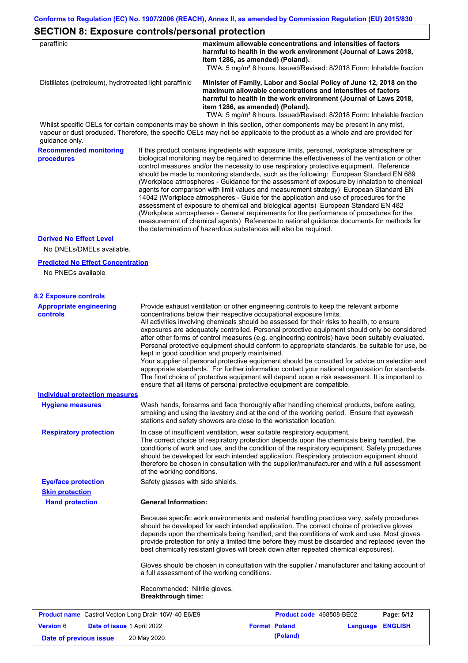| item 1286, as amended) (Poland).<br>Minister of Family, Labor and Social Policy of June 12, 2018 on the<br>Distillates (petroleum), hydrotreated light paraffinic<br>maximum allowable concentrations and intensities of factors<br>harmful to health in the work environment (Journal of Laws 2018,<br>item 1286, as amended) (Poland).<br>Whilst specific OELs for certain components may be shown in this section, other components may be present in any mist,<br>vapour or dust produced. Therefore, the specific OELs may not be applicable to the product as a whole and are provided for<br>guidance only.<br><b>Recommended monitoring</b><br>If this product contains ingredients with exposure limits, personal, workplace atmosphere or<br>biological monitoring may be required to determine the effectiveness of the ventilation or other<br>procedures<br>control measures and/or the necessity to use respiratory protective equipment. Reference<br>should be made to monitoring standards, such as the following: European Standard EN 689<br>(Workplace atmospheres - Guidance for the assessment of exposure by inhalation to chemical<br>agents for comparison with limit values and measurement strategy) European Standard EN<br>14042 (Workplace atmospheres - Guide for the application and use of procedures for the<br>assessment of exposure to chemical and biological agents) European Standard EN 482<br>(Workplace atmospheres - General requirements for the performance of procedures for the<br>measurement of chemical agents) Reference to national guidance documents for methods for<br>the determination of hazardous substances will also be required.<br><b>Derived No Effect Level</b><br>No DNELs/DMELs available.<br><b>Predicted No Effect Concentration</b><br>No PNECs available<br><b>8.2 Exposure controls</b><br><b>Appropriate engineering</b><br>Provide exhaust ventilation or other engineering controls to keep the relevant airborne<br>concentrations below their respective occupational exposure limits.<br><b>controls</b><br>All activities involving chemicals should be assessed for their risks to health, to ensure<br>exposures are adequately controlled. Personal protective equipment should only be considered<br>after other forms of control measures (e.g. engineering controls) have been suitably evaluated.<br>Personal protective equipment should conform to appropriate standards, be suitable for use, be<br>kept in good condition and properly maintained.<br>Your supplier of personal protective equipment should be consulted for advice on selection and<br>appropriate standards. For further information contact your national organisation for standards.<br>The final choice of protective equipment will depend upon a risk assessment. It is important to<br>ensure that all items of personal protective equipment are compatible.<br><b>Individual protection measures</b><br>Wash hands, forearms and face thoroughly after handling chemical products, before eating,<br><b>Hygiene measures</b><br>smoking and using the lavatory and at the end of the working period. Ensure that eyewash<br>stations and safety showers are close to the workstation location.<br><b>Respiratory protection</b><br>In case of insufficient ventilation, wear suitable respiratory equipment.<br>The correct choice of respiratory protection depends upon the chemicals being handled, the<br>conditions of work and use, and the condition of the respiratory equipment. Safety procedures<br>should be developed for each intended application. Respiratory protection equipment should<br>therefore be chosen in consultation with the supplier/manufacturer and with a full assessment<br>of the working conditions.<br><b>Eye/face protection</b><br>Safety glasses with side shields.<br><b>Skin protection</b><br><b>General Information:</b><br><b>Hand protection</b><br>Because specific work environments and material handling practices vary, safety procedures<br>should be developed for each intended application. The correct choice of protective gloves<br>depends upon the chemicals being handled, and the conditions of work and use. Most gloves<br>provide protection for only a limited time before they must be discarded and replaced (even the<br>best chemically resistant gloves will break down after repeated chemical exposures).<br>Gloves should be chosen in consultation with the supplier / manufacturer and taking account of<br>a full assessment of the working conditions.<br>Recommended: Nitrile gloves. | paraffinic | maximum allowable concentrations and intensities of factors                       |
|-------------------------------------------------------------------------------------------------------------------------------------------------------------------------------------------------------------------------------------------------------------------------------------------------------------------------------------------------------------------------------------------------------------------------------------------------------------------------------------------------------------------------------------------------------------------------------------------------------------------------------------------------------------------------------------------------------------------------------------------------------------------------------------------------------------------------------------------------------------------------------------------------------------------------------------------------------------------------------------------------------------------------------------------------------------------------------------------------------------------------------------------------------------------------------------------------------------------------------------------------------------------------------------------------------------------------------------------------------------------------------------------------------------------------------------------------------------------------------------------------------------------------------------------------------------------------------------------------------------------------------------------------------------------------------------------------------------------------------------------------------------------------------------------------------------------------------------------------------------------------------------------------------------------------------------------------------------------------------------------------------------------------------------------------------------------------------------------------------------------------------------------------------------------------------------------------------------------------------------------------------------------------------------------------------------------------------------------------------------------------------------------------------------------------------------------------------------------------------------------------------------------------------------------------------------------------------------------------------------------------------------------------------------------------------------------------------------------------------------------------------------------------------------------------------------------------------------------------------------------------------------------------------------------------------------------------------------------------------------------------------------------------------------------------------------------------------------------------------------------------------------------------------------------------------------------------------------------------------------------------------------------------------------------------------------------------------------------------------------------------------------------------------------------------------------------------------------------------------------------------------------------------------------------------------------------------------------------------------------------------------------------------------------------------------------------------------------------------------------------------------------------------------------------------------------------------------------------------------------------------------------------------------------------------------------------------------------------------------------------------------------------------------------------------------------------------------------------------------------------------------------------------------------------------------------------------------------------------------------------------------------------------------------------------------------------------------------------------------------------------------------------------------------------------------------------------------------------------------------------------------------------------------------------------------------------------------------------------------------------------------------------|------------|-----------------------------------------------------------------------------------|
|                                                                                                                                                                                                                                                                                                                                                                                                                                                                                                                                                                                                                                                                                                                                                                                                                                                                                                                                                                                                                                                                                                                                                                                                                                                                                                                                                                                                                                                                                                                                                                                                                                                                                                                                                                                                                                                                                                                                                                                                                                                                                                                                                                                                                                                                                                                                                                                                                                                                                                                                                                                                                                                                                                                                                                                                                                                                                                                                                                                                                                                                                                                                                                                                                                                                                                                                                                                                                                                                                                                                                                                                                                                                                                                                                                                                                                                                                                                                                                                                                                                                                                                                                                                                                                                                                                                                                                                                                                                                                                                                                                                                                                           |            | harmful to health in the work environment (Journal of Laws 2018,                  |
|                                                                                                                                                                                                                                                                                                                                                                                                                                                                                                                                                                                                                                                                                                                                                                                                                                                                                                                                                                                                                                                                                                                                                                                                                                                                                                                                                                                                                                                                                                                                                                                                                                                                                                                                                                                                                                                                                                                                                                                                                                                                                                                                                                                                                                                                                                                                                                                                                                                                                                                                                                                                                                                                                                                                                                                                                                                                                                                                                                                                                                                                                                                                                                                                                                                                                                                                                                                                                                                                                                                                                                                                                                                                                                                                                                                                                                                                                                                                                                                                                                                                                                                                                                                                                                                                                                                                                                                                                                                                                                                                                                                                                                           |            | TWA: 5 mg/m <sup>3</sup> 8 hours. Issued/Revised: 8/2018 Form: Inhalable fraction |
|                                                                                                                                                                                                                                                                                                                                                                                                                                                                                                                                                                                                                                                                                                                                                                                                                                                                                                                                                                                                                                                                                                                                                                                                                                                                                                                                                                                                                                                                                                                                                                                                                                                                                                                                                                                                                                                                                                                                                                                                                                                                                                                                                                                                                                                                                                                                                                                                                                                                                                                                                                                                                                                                                                                                                                                                                                                                                                                                                                                                                                                                                                                                                                                                                                                                                                                                                                                                                                                                                                                                                                                                                                                                                                                                                                                                                                                                                                                                                                                                                                                                                                                                                                                                                                                                                                                                                                                                                                                                                                                                                                                                                                           |            | TWA: 5 mg/m <sup>3</sup> 8 hours. Issued/Revised: 8/2018 Form: Inhalable fraction |
|                                                                                                                                                                                                                                                                                                                                                                                                                                                                                                                                                                                                                                                                                                                                                                                                                                                                                                                                                                                                                                                                                                                                                                                                                                                                                                                                                                                                                                                                                                                                                                                                                                                                                                                                                                                                                                                                                                                                                                                                                                                                                                                                                                                                                                                                                                                                                                                                                                                                                                                                                                                                                                                                                                                                                                                                                                                                                                                                                                                                                                                                                                                                                                                                                                                                                                                                                                                                                                                                                                                                                                                                                                                                                                                                                                                                                                                                                                                                                                                                                                                                                                                                                                                                                                                                                                                                                                                                                                                                                                                                                                                                                                           |            |                                                                                   |
|                                                                                                                                                                                                                                                                                                                                                                                                                                                                                                                                                                                                                                                                                                                                                                                                                                                                                                                                                                                                                                                                                                                                                                                                                                                                                                                                                                                                                                                                                                                                                                                                                                                                                                                                                                                                                                                                                                                                                                                                                                                                                                                                                                                                                                                                                                                                                                                                                                                                                                                                                                                                                                                                                                                                                                                                                                                                                                                                                                                                                                                                                                                                                                                                                                                                                                                                                                                                                                                                                                                                                                                                                                                                                                                                                                                                                                                                                                                                                                                                                                                                                                                                                                                                                                                                                                                                                                                                                                                                                                                                                                                                                                           |            |                                                                                   |
|                                                                                                                                                                                                                                                                                                                                                                                                                                                                                                                                                                                                                                                                                                                                                                                                                                                                                                                                                                                                                                                                                                                                                                                                                                                                                                                                                                                                                                                                                                                                                                                                                                                                                                                                                                                                                                                                                                                                                                                                                                                                                                                                                                                                                                                                                                                                                                                                                                                                                                                                                                                                                                                                                                                                                                                                                                                                                                                                                                                                                                                                                                                                                                                                                                                                                                                                                                                                                                                                                                                                                                                                                                                                                                                                                                                                                                                                                                                                                                                                                                                                                                                                                                                                                                                                                                                                                                                                                                                                                                                                                                                                                                           |            |                                                                                   |
|                                                                                                                                                                                                                                                                                                                                                                                                                                                                                                                                                                                                                                                                                                                                                                                                                                                                                                                                                                                                                                                                                                                                                                                                                                                                                                                                                                                                                                                                                                                                                                                                                                                                                                                                                                                                                                                                                                                                                                                                                                                                                                                                                                                                                                                                                                                                                                                                                                                                                                                                                                                                                                                                                                                                                                                                                                                                                                                                                                                                                                                                                                                                                                                                                                                                                                                                                                                                                                                                                                                                                                                                                                                                                                                                                                                                                                                                                                                                                                                                                                                                                                                                                                                                                                                                                                                                                                                                                                                                                                                                                                                                                                           |            |                                                                                   |
|                                                                                                                                                                                                                                                                                                                                                                                                                                                                                                                                                                                                                                                                                                                                                                                                                                                                                                                                                                                                                                                                                                                                                                                                                                                                                                                                                                                                                                                                                                                                                                                                                                                                                                                                                                                                                                                                                                                                                                                                                                                                                                                                                                                                                                                                                                                                                                                                                                                                                                                                                                                                                                                                                                                                                                                                                                                                                                                                                                                                                                                                                                                                                                                                                                                                                                                                                                                                                                                                                                                                                                                                                                                                                                                                                                                                                                                                                                                                                                                                                                                                                                                                                                                                                                                                                                                                                                                                                                                                                                                                                                                                                                           |            |                                                                                   |
|                                                                                                                                                                                                                                                                                                                                                                                                                                                                                                                                                                                                                                                                                                                                                                                                                                                                                                                                                                                                                                                                                                                                                                                                                                                                                                                                                                                                                                                                                                                                                                                                                                                                                                                                                                                                                                                                                                                                                                                                                                                                                                                                                                                                                                                                                                                                                                                                                                                                                                                                                                                                                                                                                                                                                                                                                                                                                                                                                                                                                                                                                                                                                                                                                                                                                                                                                                                                                                                                                                                                                                                                                                                                                                                                                                                                                                                                                                                                                                                                                                                                                                                                                                                                                                                                                                                                                                                                                                                                                                                                                                                                                                           |            |                                                                                   |
|                                                                                                                                                                                                                                                                                                                                                                                                                                                                                                                                                                                                                                                                                                                                                                                                                                                                                                                                                                                                                                                                                                                                                                                                                                                                                                                                                                                                                                                                                                                                                                                                                                                                                                                                                                                                                                                                                                                                                                                                                                                                                                                                                                                                                                                                                                                                                                                                                                                                                                                                                                                                                                                                                                                                                                                                                                                                                                                                                                                                                                                                                                                                                                                                                                                                                                                                                                                                                                                                                                                                                                                                                                                                                                                                                                                                                                                                                                                                                                                                                                                                                                                                                                                                                                                                                                                                                                                                                                                                                                                                                                                                                                           |            |                                                                                   |
|                                                                                                                                                                                                                                                                                                                                                                                                                                                                                                                                                                                                                                                                                                                                                                                                                                                                                                                                                                                                                                                                                                                                                                                                                                                                                                                                                                                                                                                                                                                                                                                                                                                                                                                                                                                                                                                                                                                                                                                                                                                                                                                                                                                                                                                                                                                                                                                                                                                                                                                                                                                                                                                                                                                                                                                                                                                                                                                                                                                                                                                                                                                                                                                                                                                                                                                                                                                                                                                                                                                                                                                                                                                                                                                                                                                                                                                                                                                                                                                                                                                                                                                                                                                                                                                                                                                                                                                                                                                                                                                                                                                                                                           |            |                                                                                   |
|                                                                                                                                                                                                                                                                                                                                                                                                                                                                                                                                                                                                                                                                                                                                                                                                                                                                                                                                                                                                                                                                                                                                                                                                                                                                                                                                                                                                                                                                                                                                                                                                                                                                                                                                                                                                                                                                                                                                                                                                                                                                                                                                                                                                                                                                                                                                                                                                                                                                                                                                                                                                                                                                                                                                                                                                                                                                                                                                                                                                                                                                                                                                                                                                                                                                                                                                                                                                                                                                                                                                                                                                                                                                                                                                                                                                                                                                                                                                                                                                                                                                                                                                                                                                                                                                                                                                                                                                                                                                                                                                                                                                                                           |            |                                                                                   |
|                                                                                                                                                                                                                                                                                                                                                                                                                                                                                                                                                                                                                                                                                                                                                                                                                                                                                                                                                                                                                                                                                                                                                                                                                                                                                                                                                                                                                                                                                                                                                                                                                                                                                                                                                                                                                                                                                                                                                                                                                                                                                                                                                                                                                                                                                                                                                                                                                                                                                                                                                                                                                                                                                                                                                                                                                                                                                                                                                                                                                                                                                                                                                                                                                                                                                                                                                                                                                                                                                                                                                                                                                                                                                                                                                                                                                                                                                                                                                                                                                                                                                                                                                                                                                                                                                                                                                                                                                                                                                                                                                                                                                                           |            |                                                                                   |
|                                                                                                                                                                                                                                                                                                                                                                                                                                                                                                                                                                                                                                                                                                                                                                                                                                                                                                                                                                                                                                                                                                                                                                                                                                                                                                                                                                                                                                                                                                                                                                                                                                                                                                                                                                                                                                                                                                                                                                                                                                                                                                                                                                                                                                                                                                                                                                                                                                                                                                                                                                                                                                                                                                                                                                                                                                                                                                                                                                                                                                                                                                                                                                                                                                                                                                                                                                                                                                                                                                                                                                                                                                                                                                                                                                                                                                                                                                                                                                                                                                                                                                                                                                                                                                                                                                                                                                                                                                                                                                                                                                                                                                           |            |                                                                                   |
|                                                                                                                                                                                                                                                                                                                                                                                                                                                                                                                                                                                                                                                                                                                                                                                                                                                                                                                                                                                                                                                                                                                                                                                                                                                                                                                                                                                                                                                                                                                                                                                                                                                                                                                                                                                                                                                                                                                                                                                                                                                                                                                                                                                                                                                                                                                                                                                                                                                                                                                                                                                                                                                                                                                                                                                                                                                                                                                                                                                                                                                                                                                                                                                                                                                                                                                                                                                                                                                                                                                                                                                                                                                                                                                                                                                                                                                                                                                                                                                                                                                                                                                                                                                                                                                                                                                                                                                                                                                                                                                                                                                                                                           |            |                                                                                   |
|                                                                                                                                                                                                                                                                                                                                                                                                                                                                                                                                                                                                                                                                                                                                                                                                                                                                                                                                                                                                                                                                                                                                                                                                                                                                                                                                                                                                                                                                                                                                                                                                                                                                                                                                                                                                                                                                                                                                                                                                                                                                                                                                                                                                                                                                                                                                                                                                                                                                                                                                                                                                                                                                                                                                                                                                                                                                                                                                                                                                                                                                                                                                                                                                                                                                                                                                                                                                                                                                                                                                                                                                                                                                                                                                                                                                                                                                                                                                                                                                                                                                                                                                                                                                                                                                                                                                                                                                                                                                                                                                                                                                                                           |            |                                                                                   |
| <b>Breakthrough time:</b>                                                                                                                                                                                                                                                                                                                                                                                                                                                                                                                                                                                                                                                                                                                                                                                                                                                                                                                                                                                                                                                                                                                                                                                                                                                                                                                                                                                                                                                                                                                                                                                                                                                                                                                                                                                                                                                                                                                                                                                                                                                                                                                                                                                                                                                                                                                                                                                                                                                                                                                                                                                                                                                                                                                                                                                                                                                                                                                                                                                                                                                                                                                                                                                                                                                                                                                                                                                                                                                                                                                                                                                                                                                                                                                                                                                                                                                                                                                                                                                                                                                                                                                                                                                                                                                                                                                                                                                                                                                                                                                                                                                                                 |            |                                                                                   |

|                        |                                   | <b>Product name</b> Castrol Vecton Long Drain 10W-40 E6/E9 | <b>Product code</b> 468508-BE02 |                         | Page: 5/12 |
|------------------------|-----------------------------------|------------------------------------------------------------|---------------------------------|-------------------------|------------|
| <b>Version 6</b>       | <b>Date of issue 1 April 2022</b> |                                                            | <b>Format Poland</b>            | <b>Language ENGLISH</b> |            |
| Date of previous issue |                                   | 20 May 2020.                                               | (Poland)                        |                         |            |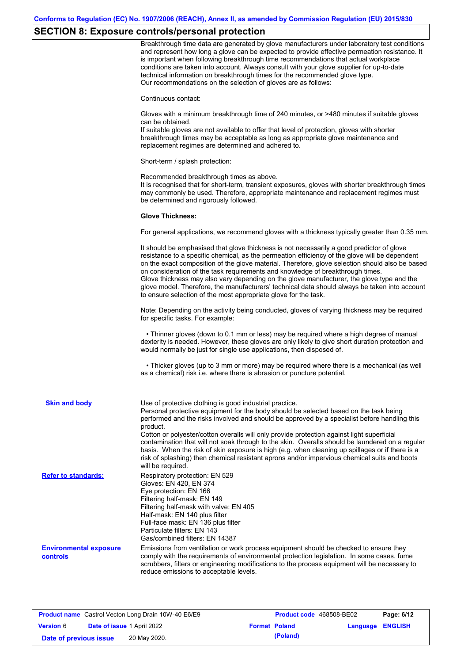# **SECTION 8: Exposure controls/personal protection**

|                                                  | Breakthrough time data are generated by glove manufacturers under laboratory test conditions<br>and represent how long a glove can be expected to provide effective permeation resistance. It<br>is important when following breakthrough time recommendations that actual workplace<br>conditions are taken into account. Always consult with your glove supplier for up-to-date<br>technical information on breakthrough times for the recommended glove type.<br>Our recommendations on the selection of gloves are as follows:                                                                                                                |
|--------------------------------------------------|---------------------------------------------------------------------------------------------------------------------------------------------------------------------------------------------------------------------------------------------------------------------------------------------------------------------------------------------------------------------------------------------------------------------------------------------------------------------------------------------------------------------------------------------------------------------------------------------------------------------------------------------------|
|                                                  | Continuous contact:                                                                                                                                                                                                                                                                                                                                                                                                                                                                                                                                                                                                                               |
|                                                  | Gloves with a minimum breakthrough time of 240 minutes, or >480 minutes if suitable gloves<br>can be obtained.<br>If suitable gloves are not available to offer that level of protection, gloves with shorter<br>breakthrough times may be acceptable as long as appropriate glove maintenance and<br>replacement regimes are determined and adhered to.                                                                                                                                                                                                                                                                                          |
|                                                  | Short-term / splash protection:                                                                                                                                                                                                                                                                                                                                                                                                                                                                                                                                                                                                                   |
|                                                  | Recommended breakthrough times as above.<br>It is recognised that for short-term, transient exposures, gloves with shorter breakthrough times<br>may commonly be used. Therefore, appropriate maintenance and replacement regimes must<br>be determined and rigorously followed.                                                                                                                                                                                                                                                                                                                                                                  |
|                                                  | <b>Glove Thickness:</b>                                                                                                                                                                                                                                                                                                                                                                                                                                                                                                                                                                                                                           |
|                                                  | For general applications, we recommend gloves with a thickness typically greater than 0.35 mm.                                                                                                                                                                                                                                                                                                                                                                                                                                                                                                                                                    |
|                                                  | It should be emphasised that glove thickness is not necessarily a good predictor of glove<br>resistance to a specific chemical, as the permeation efficiency of the glove will be dependent<br>on the exact composition of the glove material. Therefore, glove selection should also be based<br>on consideration of the task requirements and knowledge of breakthrough times.<br>Glove thickness may also vary depending on the glove manufacturer, the glove type and the<br>glove model. Therefore, the manufacturers' technical data should always be taken into account<br>to ensure selection of the most appropriate glove for the task. |
|                                                  | Note: Depending on the activity being conducted, gloves of varying thickness may be required<br>for specific tasks. For example:                                                                                                                                                                                                                                                                                                                                                                                                                                                                                                                  |
|                                                  | • Thinner gloves (down to 0.1 mm or less) may be required where a high degree of manual<br>dexterity is needed. However, these gloves are only likely to give short duration protection and<br>would normally be just for single use applications, then disposed of.                                                                                                                                                                                                                                                                                                                                                                              |
|                                                  | • Thicker gloves (up to 3 mm or more) may be required where there is a mechanical (as well<br>as a chemical) risk i.e. where there is abrasion or puncture potential.                                                                                                                                                                                                                                                                                                                                                                                                                                                                             |
| <b>Skin and body</b>                             | Use of protective clothing is good industrial practice.<br>Personal protective equipment for the body should be selected based on the task being<br>performed and the risks involved and should be approved by a specialist before handling this<br>product.                                                                                                                                                                                                                                                                                                                                                                                      |
|                                                  | Cotton or polyester/cotton overalls will only provide protection against light superficial<br>contamination that will not soak through to the skin. Overalls should be laundered on a regular<br>basis. When the risk of skin exposure is high (e.g. when cleaning up spillages or if there is a<br>risk of splashing) then chemical resistant aprons and/or impervious chemical suits and boots<br>will be required.                                                                                                                                                                                                                             |
| <b>Refer to standards:</b>                       | Respiratory protection: EN 529<br>Gloves: EN 420, EN 374<br>Eye protection: EN 166<br>Filtering half-mask: EN 149<br>Filtering half-mask with valve: EN 405<br>Half-mask: EN 140 plus filter<br>Full-face mask: EN 136 plus filter<br>Particulate filters: EN 143<br>Gas/combined filters: EN 14387                                                                                                                                                                                                                                                                                                                                               |
| <b>Environmental exposure</b><br><b>controls</b> | Emissions from ventilation or work process equipment should be checked to ensure they<br>comply with the requirements of environmental protection legislation. In some cases, fume<br>scrubbers, filters or engineering modifications to the process equipment will be necessary to<br>reduce emissions to acceptable levels.                                                                                                                                                                                                                                                                                                                     |

| <b>Product name</b> Castrol Vecton Long Drain 10W-40 E6/E9 |  |                                   | <b>Product code</b> 468508-BE02 |                         | Page: 6/12 |
|------------------------------------------------------------|--|-----------------------------------|---------------------------------|-------------------------|------------|
| <b>Version 6</b>                                           |  | <b>Date of issue 1 April 2022</b> | <b>Format Poland</b>            | <b>Language ENGLISH</b> |            |
| Date of previous issue                                     |  | 20 May 2020.                      | (Poland)                        |                         |            |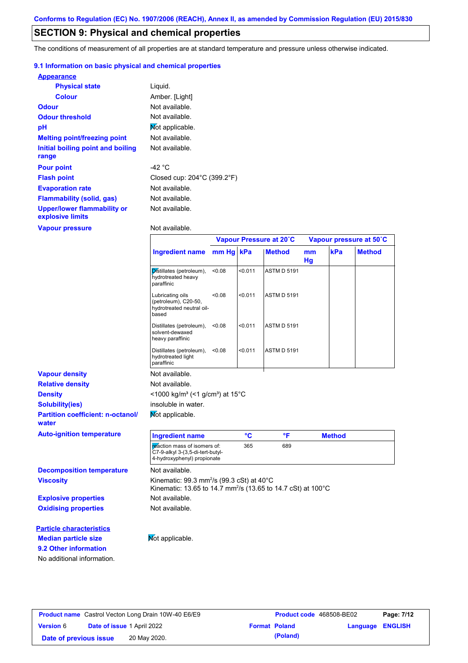# **SECTION 9: Physical and chemical properties**

The conditions of measurement of all properties are at standard temperature and pressure unless otherwise indicated.

## **9.1 Information on basic physical and chemical properties**

| <b>Appearance</b>                                      |                                                  |
|--------------------------------------------------------|--------------------------------------------------|
| <b>Physical state</b>                                  | Liquid.                                          |
| <b>Colour</b>                                          | Amber. [Light]                                   |
| Odour                                                  | Not available.                                   |
| <b>Odour threshold</b>                                 | Not available.                                   |
| рH                                                     | Not applicable.                                  |
| <b>Melting point/freezing point</b>                    | Not available.                                   |
| Initial boiling point and boiling                      | Not available.                                   |
| range                                                  |                                                  |
| <b>Pour point</b>                                      | -42 °C                                           |
| <b>Flash point</b>                                     | Closed cup: $204^{\circ}$ C (399.2 $^{\circ}$ F) |
| <b>Evaporation rate</b>                                | Not available.                                   |
| Flammability (solid, gas)                              | Not available.                                   |
| <b>Upper/lower flammability or</b><br>explosive limits | Not available.                                   |
| <b>Vapour pressure</b>                                 | Not available.                                   |

|                                                   |                                                                                                                                                  |        |         | Vapour Pressure at 20°C |          |               | Vapour pressure at 50°C |
|---------------------------------------------------|--------------------------------------------------------------------------------------------------------------------------------------------------|--------|---------|-------------------------|----------|---------------|-------------------------|
|                                                   | <b>Ingredient name</b>                                                                                                                           | mm Hg  | kPa     | <b>Method</b>           | mm<br>Hg | kPa           | <b>Method</b>           |
|                                                   | Distillates (petroleum),<br>hydrotreated heavy<br>paraffinic                                                                                     | <0.08  | < 0.011 | <b>ASTM D 5191</b>      |          |               |                         |
|                                                   | Lubricating oils<br>(petroleum), C20-50,<br>hydrotreated neutral oil-<br>based                                                                   | 0.08   | < 0.011 | <b>ASTM D 5191</b>      |          |               |                         |
|                                                   | Distillates (petroleum),<br>solvent-dewaxed<br>heavy paraffinic                                                                                  | < 0.08 | < 0.011 | <b>ASTM D 5191</b>      |          |               |                         |
|                                                   | Distillates (petroleum),<br>hydrotreated light<br>paraffinic                                                                                     | < 0.08 | < 0.011 | <b>ASTM D 5191</b>      |          |               |                         |
| <b>Vapour density</b>                             | Not available.                                                                                                                                   |        |         |                         |          |               |                         |
| <b>Relative density</b>                           | Not available.                                                                                                                                   |        |         |                         |          |               |                         |
| <b>Density</b>                                    | <1000 kg/m <sup>3</sup> (<1 g/cm <sup>3</sup> ) at 15°C                                                                                          |        |         |                         |          |               |                         |
| <b>Solubility(ies)</b>                            | insoluble in water.                                                                                                                              |        |         |                         |          |               |                         |
| <b>Partition coefficient: n-octanol/</b><br>water | Mot applicable.                                                                                                                                  |        |         |                         |          |               |                         |
| <b>Auto-ignition temperature</b>                  | <b>Ingredient name</b>                                                                                                                           |        | °C      | °F                      |          | <b>Method</b> |                         |
|                                                   | reaction mass of isomers of:<br>C7-9-alkyl 3-(3,5-di-tert-butyl-<br>4-hydroxyphenyl) propionate                                                  |        | 365     | 689                     |          |               |                         |
| <b>Decomposition temperature</b>                  | Not available.                                                                                                                                   |        |         |                         |          |               |                         |
| <b>Viscosity</b>                                  | Kinematic: $99.3$ mm <sup>2</sup> /s ( $99.3$ cSt) at $40^{\circ}$ C<br>Kinematic: 13.65 to 14.7 mm <sup>2</sup> /s (13.65 to 14.7 cSt) at 100°C |        |         |                         |          |               |                         |
| <b>Explosive properties</b>                       | Not available.                                                                                                                                   |        |         |                         |          |               |                         |
| <b>Oxidising properties</b>                       | Not available.                                                                                                                                   |        |         |                         |          |               |                         |
| <b>Particle characteristics</b>                   |                                                                                                                                                  |        |         |                         |          |               |                         |
| <b>Median particle size</b>                       | Not applicable.                                                                                                                                  |        |         |                         |          |               |                         |
| 9.2 Other information                             |                                                                                                                                                  |        |         |                         |          |               |                         |
|                                                   |                                                                                                                                                  |        |         |                         |          |               |                         |

| <b>Product name</b> Castrol Vecton Long Drain 10W-40 E6/E9 |                                   |              | Product code 468508-BE02 |                         | Page: 7/12 |
|------------------------------------------------------------|-----------------------------------|--------------|--------------------------|-------------------------|------------|
| <b>Version 6</b>                                           | <b>Date of issue 1 April 2022</b> |              | <b>Format Poland</b>     | <b>Language ENGLISH</b> |            |
| Date of previous issue                                     |                                   | 20 May 2020. | (Poland)                 |                         |            |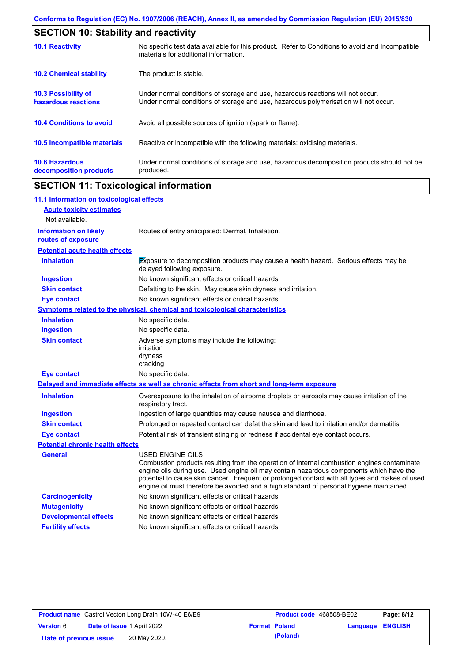| <b>SECTION 10: Stability and reactivity</b>     |                                                                                                                                                                         |  |  |  |
|-------------------------------------------------|-------------------------------------------------------------------------------------------------------------------------------------------------------------------------|--|--|--|
| <b>10.1 Reactivity</b>                          | No specific test data available for this product. Refer to Conditions to avoid and Incompatible<br>materials for additional information.                                |  |  |  |
| <b>10.2 Chemical stability</b>                  | The product is stable.                                                                                                                                                  |  |  |  |
| 10.3 Possibility of<br>hazardous reactions      | Under normal conditions of storage and use, hazardous reactions will not occur.<br>Under normal conditions of storage and use, hazardous polymerisation will not occur. |  |  |  |
| <b>10.4 Conditions to avoid</b>                 | Avoid all possible sources of ignition (spark or flame).                                                                                                                |  |  |  |
| 10.5 Incompatible materials                     | Reactive or incompatible with the following materials: oxidising materials.                                                                                             |  |  |  |
| <b>10.6 Hazardous</b><br>decomposition products | Under normal conditions of storage and use, hazardous decomposition products should not be<br>produced.                                                                 |  |  |  |

# **SECTION 11: Toxicological information**

| 11.1 Information on toxicological effects          |                                                                                                                                                                                                                                                                                                                                                                                                                 |
|----------------------------------------------------|-----------------------------------------------------------------------------------------------------------------------------------------------------------------------------------------------------------------------------------------------------------------------------------------------------------------------------------------------------------------------------------------------------------------|
| <b>Acute toxicity estimates</b>                    |                                                                                                                                                                                                                                                                                                                                                                                                                 |
| Not available.                                     |                                                                                                                                                                                                                                                                                                                                                                                                                 |
| <b>Information on likely</b><br>routes of exposure | Routes of entry anticipated: Dermal, Inhalation.                                                                                                                                                                                                                                                                                                                                                                |
| <b>Potential acute health effects</b>              |                                                                                                                                                                                                                                                                                                                                                                                                                 |
| <b>Inhalation</b>                                  | Exposure to decomposition products may cause a health hazard. Serious effects may be<br>delayed following exposure.                                                                                                                                                                                                                                                                                             |
| <b>Ingestion</b>                                   | No known significant effects or critical hazards.                                                                                                                                                                                                                                                                                                                                                               |
| <b>Skin contact</b>                                | Defatting to the skin. May cause skin dryness and irritation.                                                                                                                                                                                                                                                                                                                                                   |
| <b>Eye contact</b>                                 | No known significant effects or critical hazards.                                                                                                                                                                                                                                                                                                                                                               |
|                                                    | <b>Symptoms related to the physical, chemical and toxicological characteristics</b>                                                                                                                                                                                                                                                                                                                             |
| <b>Inhalation</b>                                  | No specific data.                                                                                                                                                                                                                                                                                                                                                                                               |
| <b>Ingestion</b>                                   | No specific data.                                                                                                                                                                                                                                                                                                                                                                                               |
| <b>Skin contact</b>                                | Adverse symptoms may include the following:<br>irritation<br>dryness<br>cracking                                                                                                                                                                                                                                                                                                                                |
| <b>Eye contact</b>                                 | No specific data.                                                                                                                                                                                                                                                                                                                                                                                               |
|                                                    | Delayed and immediate effects as well as chronic effects from short and long-term exposure                                                                                                                                                                                                                                                                                                                      |
| <b>Inhalation</b>                                  | Overexposure to the inhalation of airborne droplets or aerosols may cause irritation of the<br>respiratory tract.                                                                                                                                                                                                                                                                                               |
| <b>Ingestion</b>                                   | Ingestion of large quantities may cause nausea and diarrhoea.                                                                                                                                                                                                                                                                                                                                                   |
| <b>Skin contact</b>                                | Prolonged or repeated contact can defat the skin and lead to irritation and/or dermatitis.                                                                                                                                                                                                                                                                                                                      |
| <b>Eye contact</b>                                 | Potential risk of transient stinging or redness if accidental eye contact occurs.                                                                                                                                                                                                                                                                                                                               |
| <b>Potential chronic health effects</b>            |                                                                                                                                                                                                                                                                                                                                                                                                                 |
| General                                            | <b>USED ENGINE OILS</b><br>Combustion products resulting from the operation of internal combustion engines contaminate<br>engine oils during use. Used engine oil may contain hazardous components which have the<br>potential to cause skin cancer. Frequent or prolonged contact with all types and makes of used<br>engine oil must therefore be avoided and a high standard of personal hygiene maintained. |
| <b>Carcinogenicity</b>                             | No known significant effects or critical hazards.                                                                                                                                                                                                                                                                                                                                                               |
| <b>Mutagenicity</b>                                | No known significant effects or critical hazards.                                                                                                                                                                                                                                                                                                                                                               |
| <b>Developmental effects</b>                       | No known significant effects or critical hazards.                                                                                                                                                                                                                                                                                                                                                               |
| <b>Fertility effects</b>                           | No known significant effects or critical hazards.                                                                                                                                                                                                                                                                                                                                                               |

|                        |                                   | <b>Product name</b> Castrol Vecton Long Drain 10W-40 E6/E9 | <b>Product code</b> 468508-BE02 |                         | Page: 8/12 |
|------------------------|-----------------------------------|------------------------------------------------------------|---------------------------------|-------------------------|------------|
| <b>Version 6</b>       | <b>Date of issue 1 April 2022</b> |                                                            | <b>Format Poland</b>            | <b>Language ENGLISH</b> |            |
| Date of previous issue |                                   | 20 May 2020.                                               | (Poland)                        |                         |            |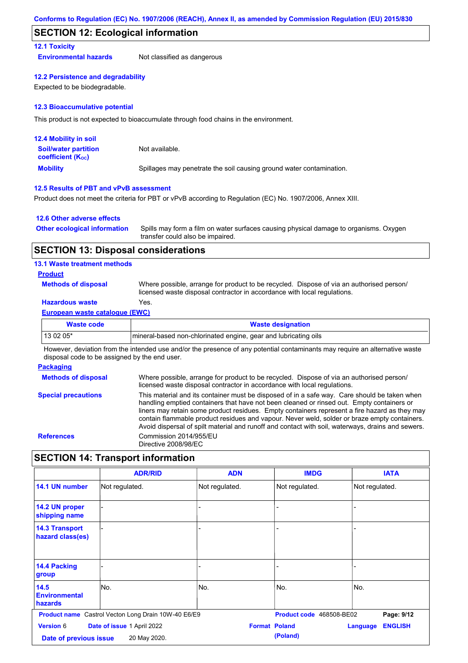## **SECTION 12: Ecological information**

## **12.1 Toxicity**

**Environmental hazards** Not classified as dangerous

#### **12.2 Persistence and degradability**

Expected to be biodegradable.

#### **12.3 Bioaccumulative potential**

This product is not expected to bioaccumulate through food chains in the environment.

| <b>12.4 Mobility in soil</b>                                  |                                                                      |
|---------------------------------------------------------------|----------------------------------------------------------------------|
| <b>Soil/water partition</b><br>coefficient (K <sub>oc</sub> ) | Not available.                                                       |
| <b>Mobility</b>                                               | Spillages may penetrate the soil causing ground water contamination. |

## **12.5 Results of PBT and vPvB assessment**

Product does not meet the criteria for PBT or vPvB according to Regulation (EC) No. 1907/2006, Annex XIII.

### **12.6 Other adverse effects**

| <b>Other ecological information</b> | Spills may form a film on water surfaces causing physical damage to organisms. Oxygen |
|-------------------------------------|---------------------------------------------------------------------------------------|
|                                     | transfer could also be impaired.                                                      |

## **SECTION 13: Disposal considerations**

### **13.1 Waste treatment methods**

#### **Product**

**Methods of disposal**

Where possible, arrange for product to be recycled. Dispose of via an authorised person/ licensed waste disposal contractor in accordance with local regulations.

## **Hazardous waste** Yes.

#### **European waste catalogue (EWC)**

| Waste code | <b>Waste designation</b>                                         |
|------------|------------------------------------------------------------------|
| 13 02 05*  | Imineral-based non-chlorinated engine, gear and lubricating oils |

However, deviation from the intended use and/or the presence of any potential contaminants may require an alternative waste disposal code to be assigned by the end user.

## **Packaging**

| <b>Methods of disposal</b> | Where possible, arrange for product to be recycled. Dispose of via an authorised person/<br>licensed waste disposal contractor in accordance with local regulations.                                                                                                                                                                                                                                                                                                                            |
|----------------------------|-------------------------------------------------------------------------------------------------------------------------------------------------------------------------------------------------------------------------------------------------------------------------------------------------------------------------------------------------------------------------------------------------------------------------------------------------------------------------------------------------|
| <b>Special precautions</b> | This material and its container must be disposed of in a safe way. Care should be taken when<br>handling emptied containers that have not been cleaned or rinsed out. Empty containers or<br>liners may retain some product residues. Empty containers represent a fire hazard as they may<br>contain flammable product residues and vapour. Never weld, solder or braze empty containers.<br>Avoid dispersal of spilt material and runoff and contact with soil, waterways, drains and sewers. |
| <b>References</b>          | Commission 2014/955/EU<br>Directive 2008/98/EC                                                                                                                                                                                                                                                                                                                                                                                                                                                  |

# **SECTION 14: Transport information**

|                                            | <b>ADR/RID</b>                                             | <b>ADN</b>     | <b>IMDG</b>                      | <b>IATA</b>                |
|--------------------------------------------|------------------------------------------------------------|----------------|----------------------------------|----------------------------|
| 14.1 UN number                             | Not regulated.                                             | Not regulated. | Not regulated.                   | Not regulated.             |
| 14.2 UN proper<br>shipping name            |                                                            |                |                                  |                            |
| <b>14.3 Transport</b><br>hazard class(es)  |                                                            |                |                                  |                            |
| 14.4 Packing<br>group                      |                                                            | $\overline{a}$ |                                  |                            |
| 14.5<br><b>Environmental</b><br>hazards    | lNo.                                                       | No.            | No.                              | lNo.                       |
|                                            | <b>Product name</b> Castrol Vecton Long Drain 10W-40 E6/E9 |                | Product code 468508-BE02         | Page: 9/12                 |
| <b>Version 6</b><br>Date of previous issue | Date of issue 1 April 2022<br>20 May 2020.                 |                | <b>Format Poland</b><br>(Poland) | <b>ENGLISH</b><br>Language |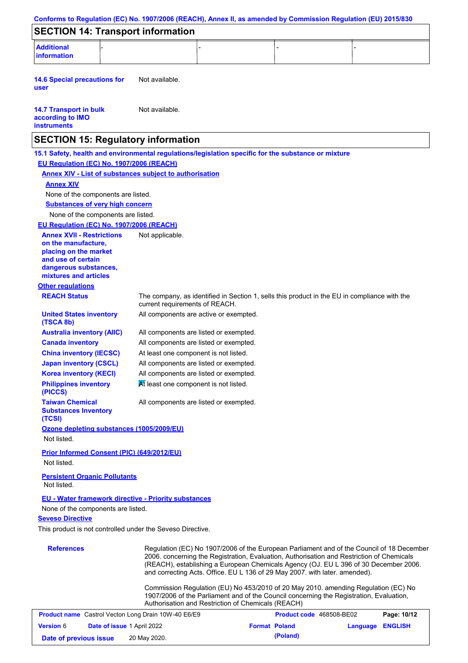| Conforms to Regulation (EC) No. 1907/2006 (REACH), Annex II, as amended by Commission Regulation (EU) 2015/830 |                                                                                              |                      |                          |                                                                                                                                                                                                                                                                                |                |
|----------------------------------------------------------------------------------------------------------------|----------------------------------------------------------------------------------------------|----------------------|--------------------------|--------------------------------------------------------------------------------------------------------------------------------------------------------------------------------------------------------------------------------------------------------------------------------|----------------|
| <b>SECTION 14: Transport information</b>                                                                       |                                                                                              |                      |                          |                                                                                                                                                                                                                                                                                |                |
| <b>Additional</b><br><b>information</b>                                                                        |                                                                                              |                      |                          |                                                                                                                                                                                                                                                                                |                |
| <b>14.6 Special precautions for</b><br>user                                                                    | Not available.                                                                               |                      |                          |                                                                                                                                                                                                                                                                                |                |
| <b>14.7 Transport in bulk</b><br>according to IMO<br><b>instruments</b>                                        | Not available.                                                                               |                      |                          |                                                                                                                                                                                                                                                                                |                |
| <b>SECTION 15: Regulatory information</b>                                                                      |                                                                                              |                      |                          |                                                                                                                                                                                                                                                                                |                |
| 15.1 Safety, health and environmental regulations/legislation specific for the substance or mixture            |                                                                                              |                      |                          |                                                                                                                                                                                                                                                                                |                |
| EU Regulation (EC) No. 1907/2006 (REACH)                                                                       |                                                                                              |                      |                          |                                                                                                                                                                                                                                                                                |                |
| <b>Annex XIV - List of substances subject to authorisation</b>                                                 |                                                                                              |                      |                          |                                                                                                                                                                                                                                                                                |                |
| <b>Annex XIV</b>                                                                                               |                                                                                              |                      |                          |                                                                                                                                                                                                                                                                                |                |
| None of the components are listed.                                                                             |                                                                                              |                      |                          |                                                                                                                                                                                                                                                                                |                |
| <b>Substances of very high concern</b>                                                                         |                                                                                              |                      |                          |                                                                                                                                                                                                                                                                                |                |
| None of the components are listed.                                                                             |                                                                                              |                      |                          |                                                                                                                                                                                                                                                                                |                |
| EU Regulation (EC) No. 1907/2006 (REACH)                                                                       |                                                                                              |                      |                          |                                                                                                                                                                                                                                                                                |                |
| <b>Annex XVII - Restrictions</b><br>on the manufacture,                                                        | Not applicable.                                                                              |                      |                          |                                                                                                                                                                                                                                                                                |                |
| placing on the market                                                                                          |                                                                                              |                      |                          |                                                                                                                                                                                                                                                                                |                |
| and use of certain                                                                                             |                                                                                              |                      |                          |                                                                                                                                                                                                                                                                                |                |
| dangerous substances,<br>mixtures and articles                                                                 |                                                                                              |                      |                          |                                                                                                                                                                                                                                                                                |                |
| <b>Other regulations</b>                                                                                       |                                                                                              |                      |                          |                                                                                                                                                                                                                                                                                |                |
| <b>REACH Status</b>                                                                                            | The company, as identified in Section 1, sells this product in the EU in compliance with the |                      |                          |                                                                                                                                                                                                                                                                                |                |
|                                                                                                                | current requirements of REACH.                                                               |                      |                          |                                                                                                                                                                                                                                                                                |                |
| <b>United States inventory</b><br>(TSCA 8b)                                                                    | All components are active or exempted.                                                       |                      |                          |                                                                                                                                                                                                                                                                                |                |
| <b>Australia inventory (AIIC)</b>                                                                              | All components are listed or exempted.                                                       |                      |                          |                                                                                                                                                                                                                                                                                |                |
| <b>Canada inventory</b>                                                                                        | All components are listed or exempted.                                                       |                      |                          |                                                                                                                                                                                                                                                                                |                |
| <b>China inventory (IECSC)</b>                                                                                 | At least one component is not listed.                                                        |                      |                          |                                                                                                                                                                                                                                                                                |                |
| <b>Japan inventory (CSCL)</b>                                                                                  | All components are listed or exempted.                                                       |                      |                          |                                                                                                                                                                                                                                                                                |                |
| <b>Korea inventory (KECI)</b>                                                                                  | All components are listed or exempted.                                                       |                      |                          |                                                                                                                                                                                                                                                                                |                |
| <b>Philippines inventory</b><br>(PICCS)                                                                        | At least one component is not listed.                                                        |                      |                          |                                                                                                                                                                                                                                                                                |                |
| <b>Taiwan Chemical</b><br><b>Substances Inventory</b><br>(TCSI)                                                | All components are listed or exempted.                                                       |                      |                          |                                                                                                                                                                                                                                                                                |                |
| Ozone depleting substances (1005/2009/EU)<br>Not listed.                                                       |                                                                                              |                      |                          |                                                                                                                                                                                                                                                                                |                |
| <b>Prior Informed Consent (PIC) (649/2012/EU)</b><br>Not listed.                                               |                                                                                              |                      |                          |                                                                                                                                                                                                                                                                                |                |
| <b>Persistent Organic Pollutants</b><br>Not listed.                                                            |                                                                                              |                      |                          |                                                                                                                                                                                                                                                                                |                |
| <b>EU - Water framework directive - Priority substances</b>                                                    |                                                                                              |                      |                          |                                                                                                                                                                                                                                                                                |                |
| None of the components are listed.                                                                             |                                                                                              |                      |                          |                                                                                                                                                                                                                                                                                |                |
| <b>Seveso Directive</b>                                                                                        |                                                                                              |                      |                          |                                                                                                                                                                                                                                                                                |                |
| This product is not controlled under the Seveso Directive.                                                     |                                                                                              |                      |                          |                                                                                                                                                                                                                                                                                |                |
|                                                                                                                |                                                                                              |                      |                          |                                                                                                                                                                                                                                                                                |                |
| <b>References</b>                                                                                              | and correcting Acts. Office. EU L 136 of 29 May 2007. with later. amended).                  |                      |                          | Regulation (EC) No 1907/2006 of the European Parliament and of the Council of 18 December<br>2006. concerning the Registration, Evaluation, Authorisation and Restriction of Chemicals<br>(REACH), establishing a European Chemicals Agency (OJ. EU L 396 of 30 December 2006. |                |
|                                                                                                                | Authorisation and Restriction of Chemicals (REACH)                                           |                      |                          | Commission Regulation (EU) No 453/2010 of 20 May 2010. amending Regulation (EC) No<br>1907/2006 of the Parliament and of the Council concerning the Registration, Evaluation,                                                                                                  |                |
| <b>Product name</b> Castrol Vecton Long Drain 10W-40 E6/E9                                                     |                                                                                              |                      | Product code 468508-BE02 |                                                                                                                                                                                                                                                                                | Page: 10/12    |
| Version 6                                                                                                      | Date of issue 1 April 2022                                                                   | <b>Format Poland</b> |                          | Language                                                                                                                                                                                                                                                                       | <b>ENGLISH</b> |
| Date of previous issue                                                                                         | 20 May 2020.                                                                                 |                      | (Poland)                 |                                                                                                                                                                                                                                                                                |                |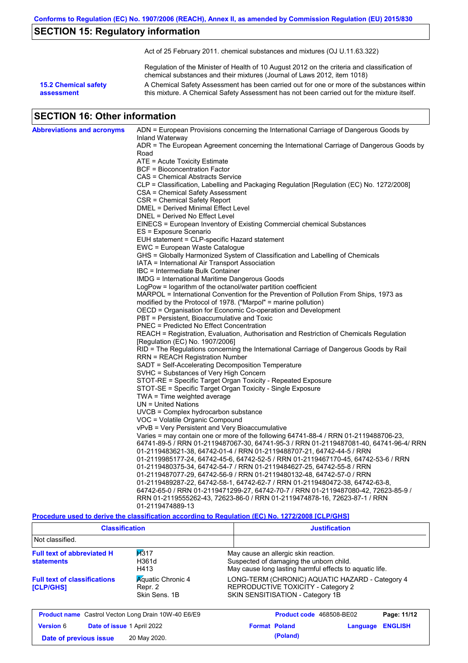# **SECTION 15: Regulatory information**

Act of 25 February 2011. chemical substances and mixtures (OJ U.11.63.322)

Regulation of the Minister of Health of 10 August 2012 on the criteria and classification of chemical substances and their mixtures (Journal of Laws 2012, item 1018)

**15.2 Chemical safety assessment**

A Chemical Safety Assessment has been carried out for one or more of the substances within this mixture. A Chemical Safety Assessment has not been carried out for the mixture itself.

# **SECTION 16: Other information**

| <b>Abbreviations and acronyms</b> | ADN = European Provisions concerning the International Carriage of Dangerous Goods by          |
|-----------------------------------|------------------------------------------------------------------------------------------------|
|                                   | Inland Waterway                                                                                |
|                                   | ADR = The European Agreement concerning the International Carriage of Dangerous Goods by       |
|                                   | Road                                                                                           |
|                                   | ATE = Acute Toxicity Estimate                                                                  |
|                                   | BCF = Bioconcentration Factor                                                                  |
|                                   | CAS = Chemical Abstracts Service                                                               |
|                                   | CLP = Classification, Labelling and Packaging Regulation [Regulation (EC) No. 1272/2008]       |
|                                   | CSA = Chemical Safety Assessment                                                               |
|                                   | CSR = Chemical Safety Report                                                                   |
|                                   | DMEL = Derived Minimal Effect Level                                                            |
|                                   | DNEL = Derived No Effect Level                                                                 |
|                                   | EINECS = European Inventory of Existing Commercial chemical Substances                         |
|                                   | ES = Exposure Scenario                                                                         |
|                                   | EUH statement = CLP-specific Hazard statement                                                  |
|                                   | EWC = European Waste Catalogue                                                                 |
|                                   | GHS = Globally Harmonized System of Classification and Labelling of Chemicals                  |
|                                   | IATA = International Air Transport Association                                                 |
|                                   | IBC = Intermediate Bulk Container                                                              |
|                                   | <b>IMDG = International Maritime Dangerous Goods</b>                                           |
|                                   | LogPow = logarithm of the octanol/water partition coefficient                                  |
|                                   | MARPOL = International Convention for the Prevention of Pollution From Ships, 1973 as          |
|                                   | modified by the Protocol of 1978. ("Marpol" = marine pollution)                                |
|                                   | OECD = Organisation for Economic Co-operation and Development                                  |
|                                   | PBT = Persistent, Bioaccumulative and Toxic<br><b>PNEC</b> = Predicted No Effect Concentration |
|                                   | REACH = Registration, Evaluation, Authorisation and Restriction of Chemicals Regulation        |
|                                   | [Regulation (EC) No. 1907/2006]                                                                |
|                                   | RID = The Regulations concerning the International Carriage of Dangerous Goods by Rail         |
|                                   | <b>RRN = REACH Registration Number</b>                                                         |
|                                   | SADT = Self-Accelerating Decomposition Temperature                                             |
|                                   | SVHC = Substances of Very High Concern                                                         |
|                                   | STOT-RE = Specific Target Organ Toxicity - Repeated Exposure                                   |
|                                   | STOT-SE = Specific Target Organ Toxicity - Single Exposure                                     |
|                                   | $TWA = Time weighted average$                                                                  |
|                                   | $UN = United Nations$                                                                          |
|                                   | UVCB = Complex hydrocarbon substance                                                           |
|                                   | VOC = Volatile Organic Compound                                                                |
|                                   | vPvB = Very Persistent and Very Bioaccumulative                                                |
|                                   | Varies = may contain one or more of the following 64741-88-4 / RRN 01-2119488706-23,           |
|                                   | 64741-89-5 / RRN 01-2119487067-30, 64741-95-3 / RRN 01-2119487081-40, 64741-96-4/ RRN          |
|                                   | 01-2119483621-38, 64742-01-4 / RRN 01-2119488707-21, 64742-44-5 / RRN                          |
|                                   | 01-2119985177-24, 64742-45-6, 64742-52-5 / RRN 01-2119467170-45, 64742-53-6 / RRN              |
|                                   | 01-2119480375-34, 64742-54-7 / RRN 01-2119484627-25, 64742-55-8 / RRN                          |
|                                   | 01-2119487077-29, 64742-56-9 / RRN 01-2119480132-48, 64742-57-0 / RRN                          |
|                                   | 01-2119489287-22, 64742-58-1, 64742-62-7 / RRN 01-2119480472-38, 64742-63-8,                   |
|                                   | 64742-65-0 / RRN 01-2119471299-27, 64742-70-7 / RRN 01-2119487080-42, 72623-85-9 /             |
|                                   | RRN 01-2119555262-43, 72623-86-0 / RRN 01-2119474878-16, 72623-87-1 / RRN                      |
|                                   | 01-2119474889-13                                                                               |

## **Procedure used to derive the classification according to Regulation (EC) No. 1272/2008 [CLP/GHS]**

| <b>Classification</b><br>Not classified.                                                                        |                       | <b>Justification</b>            |                                                                                                                                            |  |  |
|-----------------------------------------------------------------------------------------------------------------|-----------------------|---------------------------------|--------------------------------------------------------------------------------------------------------------------------------------------|--|--|
|                                                                                                                 |                       |                                 |                                                                                                                                            |  |  |
| <b>Full text of abbreviated H</b><br><b>statements</b>                                                          | H317<br>H361d<br>H413 |                                 | May cause an allergic skin reaction.<br>Suspected of damaging the unborn child.<br>May cause long lasting harmful effects to aquatic life. |  |  |
| <b>Aguatic Chronic 4</b><br><b>Full text of classifications</b><br>Repr. 2<br><b>[CLP/GHS]</b><br>Skin Sens, 1B |                       |                                 | LONG-TERM (CHRONIC) AQUATIC HAZARD - Category 4<br>REPRODUCTIVE TOXICITY - Category 2<br>SKIN SENSITISATION - Category 1B                  |  |  |
| <b>Product name</b> Castrol Vecton Long Drain 10W-40 E6/E9                                                      |                       | <b>Product code</b> 468508-BE02 | Page: 11/12                                                                                                                                |  |  |

| <b>Version</b> 6       | <b>Date of issue 1 April 2022</b> | <b>Format Poland</b> | <b>Language ENGLISH</b> |  |
|------------------------|-----------------------------------|----------------------|-------------------------|--|
| Date of previous issue | 20 May 2020.                      | (Poland)             |                         |  |